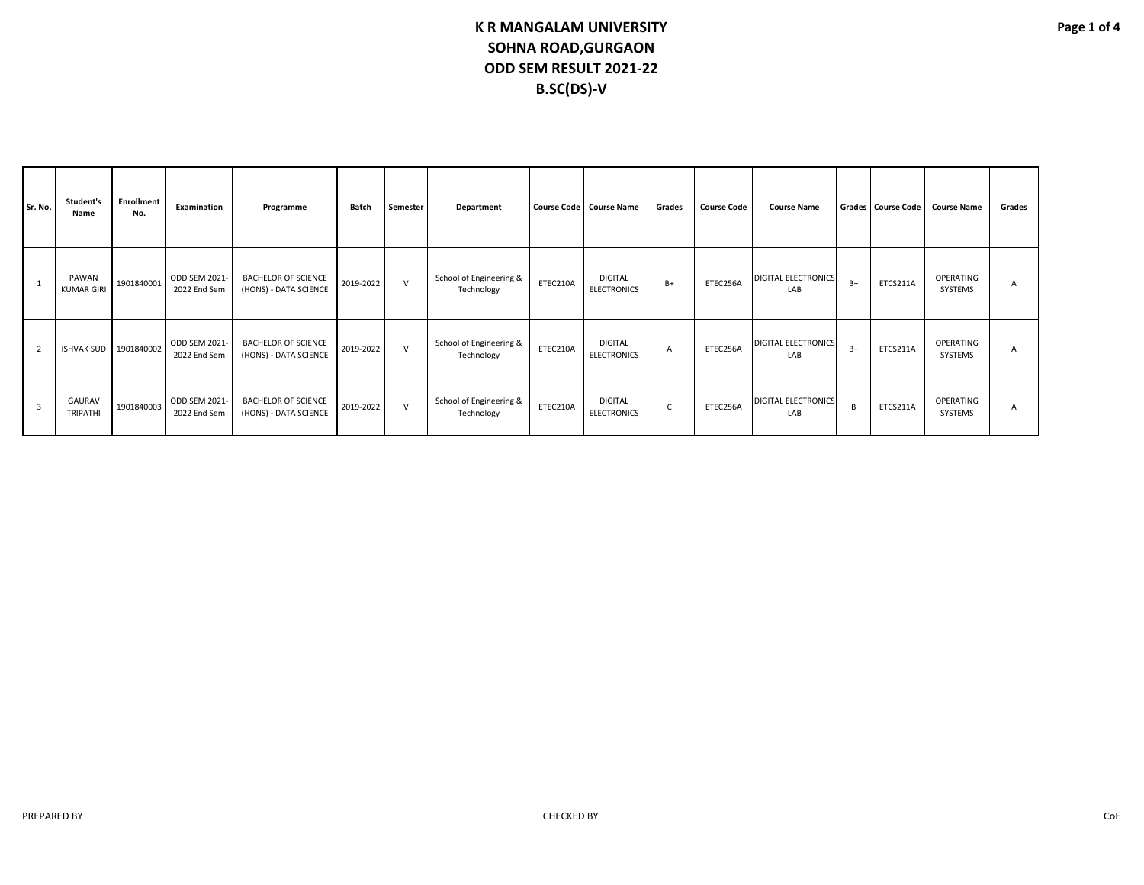| Sr. No.        |   | Student's<br>Name          | <b>Enrollment</b><br>No. | <b>Examination</b>            | Programme                                           | Batch     | Semester | Department                            |          | Course Code   Course Name            | Grades | <b>Course Code</b> | <b>Course Name</b>                |      | Grades Course Code | <b>Course Name</b>   | Grades |
|----------------|---|----------------------------|--------------------------|-------------------------------|-----------------------------------------------------|-----------|----------|---------------------------------------|----------|--------------------------------------|--------|--------------------|-----------------------------------|------|--------------------|----------------------|--------|
|                |   | PAWAN<br><b>KUMAR GIRI</b> | 1901840001               | ODD SEM 2021-<br>2022 End Sem | <b>BACHELOR OF SCIENCE</b><br>(HONS) - DATA SCIENCE | 2019-2022 | $\vee$   | School of Engineering &<br>Technology | ETEC210A | <b>DIGITAL</b><br><b>ELECTRONICS</b> | $B+$   | ETEC256A           | <b>DIGITAL ELECTRONICS</b><br>LAB | $B+$ | ETCS211A           | OPERATING<br>SYSTEMS | A      |
| $\overline{2}$ |   | <b>ISHVAK SUD</b>          | 1901840002               | ODD SEM 2021-<br>2022 End Sem | <b>BACHELOR OF SCIENCE</b><br>(HONS) - DATA SCIENCE | 2019-2022 | $\vee$   | School of Engineering &<br>Technology | ETEC210A | <b>DIGITAL</b><br><b>ELECTRONICS</b> | A      | ETEC256A           | <b>DIGITAL ELECTRONICS</b><br>LAB | $B+$ | ETCS211A           | OPERATING<br>SYSTEMS | A      |
|                | 3 | GAURAV<br><b>TRIPATHI</b>  | 1901840003               | ODD SEM 2021-<br>2022 End Sem | <b>BACHELOR OF SCIENCE</b><br>(HONS) - DATA SCIENCE | 2019-2022 | $\vee$   | School of Engineering &<br>Technology | ETEC210A | <b>DIGITAL</b><br><b>ELECTRONICS</b> | C      | ETEC256A           | <b>DIGITAL ELECTRONICS</b><br>LAB | B    | ETCS211A           | OPERATING<br>SYSTEMS | A      |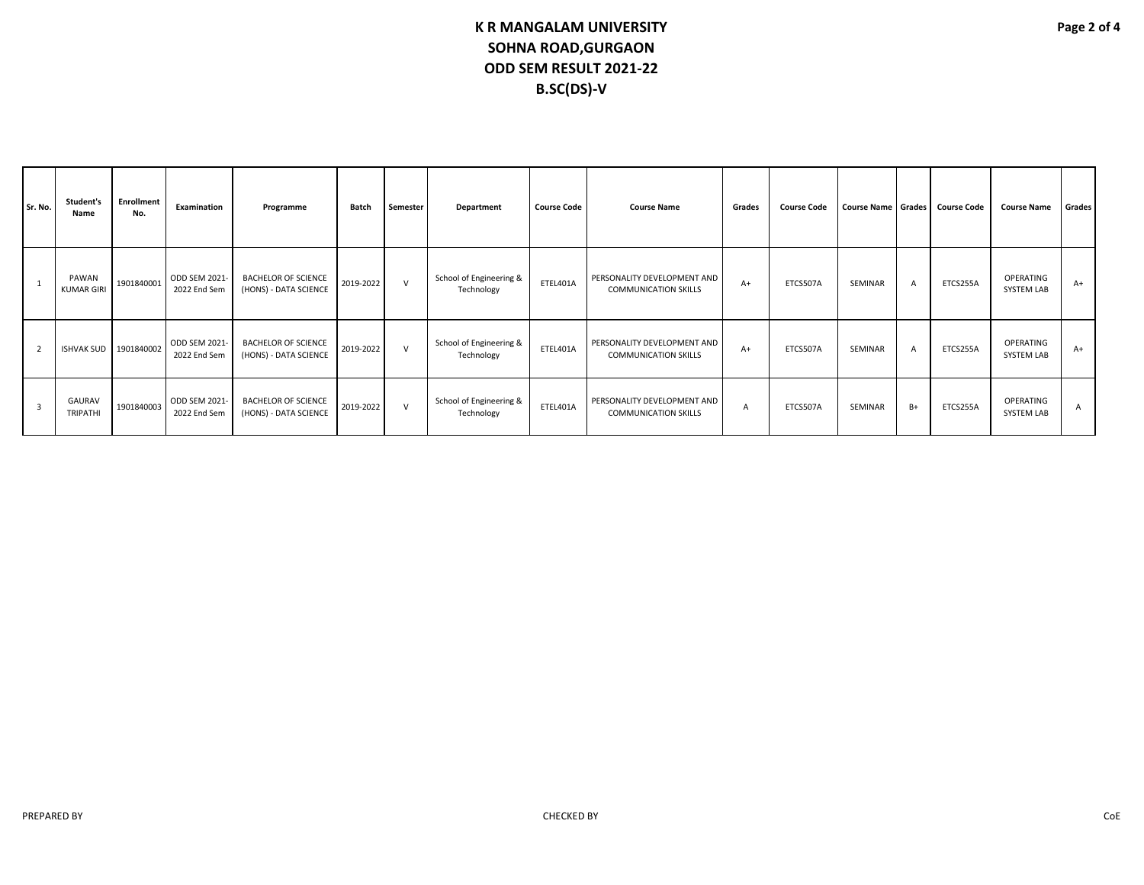| Sr. No.        | Student's<br>Name          | <b>Enrollment</b><br>No. | Examination                   | Programme                                           | <b>Batch</b> | Semester     | Department                            | <b>Course Code</b> | <b>Course Name</b>                                         | Grades | <b>Course Code</b> |         |                | Course Name Grades Course Code | <b>Course Name</b>             | Grades       |
|----------------|----------------------------|--------------------------|-------------------------------|-----------------------------------------------------|--------------|--------------|---------------------------------------|--------------------|------------------------------------------------------------|--------|--------------------|---------|----------------|--------------------------------|--------------------------------|--------------|
|                | PAWAN<br><b>KUMAR GIRI</b> | 1901840001               | ODD SEM 2021-<br>2022 End Sem | <b>BACHELOR OF SCIENCE</b><br>(HONS) - DATA SCIENCE | 2019-2022    | $\mathsf{v}$ | School of Engineering &<br>Technology | ETEL401A           | PERSONALITY DEVELOPMENT AND<br><b>COMMUNICATION SKILLS</b> | $A+$   | ETCS507A           | SEMINAR | $\overline{A}$ | ETCS255A                       | OPERATING<br><b>SYSTEM LAB</b> | $A+$         |
| $\overline{2}$ | ISHVAK SUD 1901840002      |                          | ODD SEM 2021-<br>2022 End Sem | <b>BACHELOR OF SCIENCE</b><br>(HONS) - DATA SCIENCE | 2019-2022    | $\mathsf{v}$ | School of Engineering &<br>Technology | ETEL401A           | PERSONALITY DEVELOPMENT AND<br><b>COMMUNICATION SKILLS</b> | $A+$   | ETCS507A           | SEMINAR | $\overline{A}$ | ETCS255A                       | OPERATING<br><b>SYSTEM LAB</b> | $A+$         |
| $\overline{3}$ | GAURAV<br><b>TRIPATHI</b>  | 1901840003               | ODD SEM 2021<br>2022 End Sem  | <b>BACHELOR OF SCIENCE</b><br>(HONS) - DATA SCIENCE | 2019-2022    | $\vee$       | School of Engineering &<br>Technology | ETEL401A           | PERSONALITY DEVELOPMENT AND<br><b>COMMUNICATION SKILLS</b> | A      | ETCS507A           | SEMINAR | $B+$           | ETCS255A                       | OPERATING<br><b>SYSTEM LAB</b> | $\mathsf{A}$ |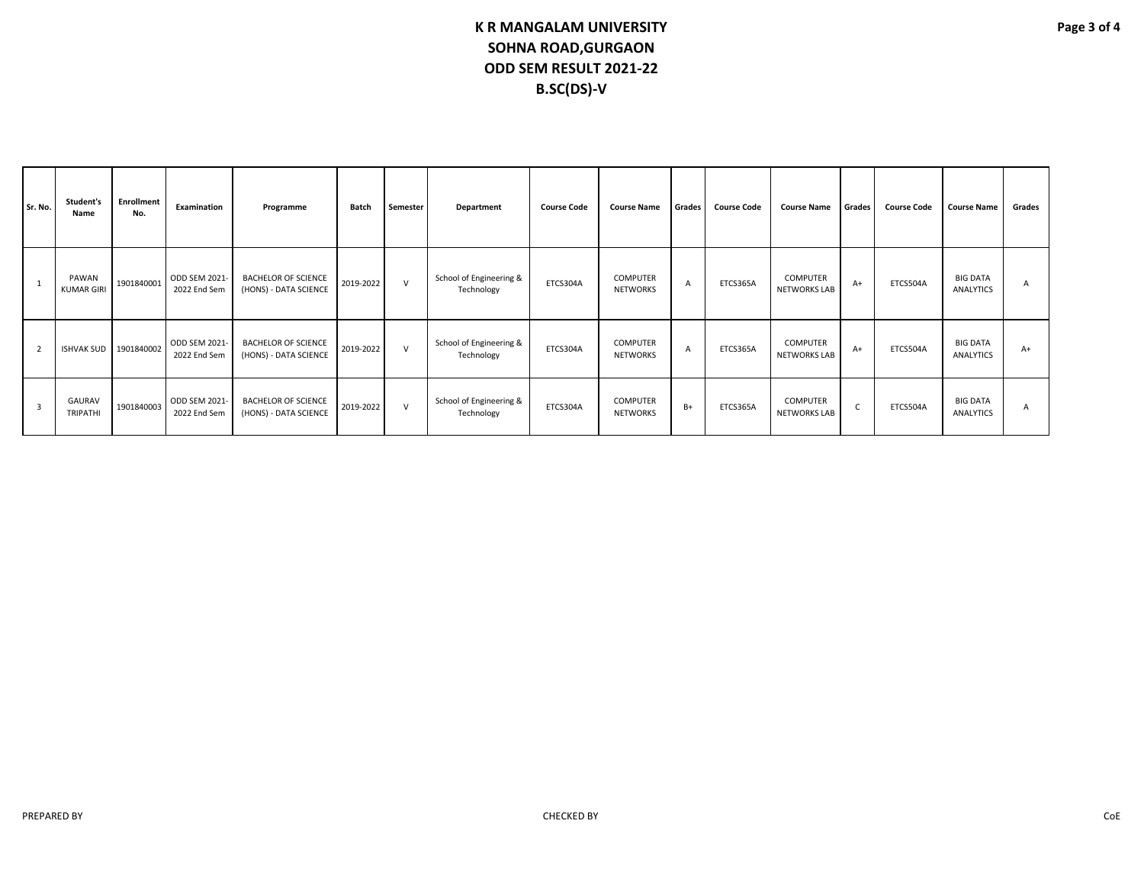| Sr. No.        | Student's<br>Name          | <b>Enrollment</b><br>No. | Examination                   | Programme                                           | Batch     | Semester | Department                            | <b>Course Code</b> | <b>Course Name</b>                 | Grades         | <b>Course Code</b> | <b>Course Name</b>                     | Grades | <b>Course Code</b> | <b>Course Name</b>                  | Grades |
|----------------|----------------------------|--------------------------|-------------------------------|-----------------------------------------------------|-----------|----------|---------------------------------------|--------------------|------------------------------------|----------------|--------------------|----------------------------------------|--------|--------------------|-------------------------------------|--------|
|                | PAWAN<br><b>KUMAR GIRI</b> | 1901840001               | ODD SEM 2021-<br>2022 End Sem | <b>BACHELOR OF SCIENCE</b><br>(HONS) - DATA SCIENCE | 2019-2022 | $\vee$   | School of Engineering &<br>Technology | ETCS304A           | <b>COMPUTER</b><br><b>NETWORKS</b> | $\overline{A}$ | ETCS365A           | <b>COMPUTER</b><br><b>NETWORKS LAB</b> | $A+$   | ETCS504A           | <b>BIG DATA</b><br><b>ANALYTICS</b> | A      |
| $\overline{2}$ | <b>ISHVAK SUD</b>          | 1901840002               | ODD SEM 2021-<br>2022 End Sem | <b>BACHELOR OF SCIENCE</b><br>(HONS) - DATA SCIENCE | 2019-2022 | $\vee$   | School of Engineering &<br>Technology | ETCS304A           | <b>COMPUTER</b><br><b>NETWORKS</b> | $\overline{A}$ | ETCS365A           | <b>COMPUTER</b><br><b>NETWORKS LAB</b> | $A+$   | ETCS504A           | <b>BIG DATA</b><br><b>ANALYTICS</b> | $A+$   |
| 3              | GAURAV<br><b>TRIPATHI</b>  | 1901840003               | ODD SEM 2021-<br>2022 End Sem | <b>BACHELOR OF SCIENCE</b><br>(HONS) - DATA SCIENCE | 2019-2022 | $\vee$   | School of Engineering &<br>Technology | ETCS304A           | <b>COMPUTER</b><br><b>NETWORKS</b> | $B+$           | ETCS365A           | <b>COMPUTER</b><br><b>NETWORKS LAB</b> | C.     | ETCS504A           | <b>BIG DATA</b><br><b>ANALYTICS</b> | A      |